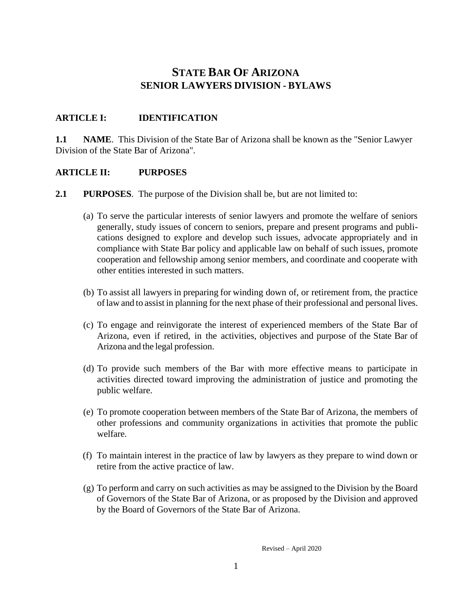# **STATE BAR OF ARIZONA SENIOR LAWYERS DIVISION - BYLAWS**

### **ARTICLE I: IDENTIFICATION**

**1.1 NAME**. This Division of the State Bar of Arizona shall be known as the "Senior Lawyer" Division of the State Bar of Arizona".

#### **ARTICLE II: PURPOSES**

- **2.1 PURPOSES**. The purpose of the Division shall be, but are not limited to:
	- (a) To serve the particular interests of senior lawyers and promote the welfare of seniors generally, study issues of concern to seniors, prepare and present programs and publications designed to explore and develop such issues, advocate appropriately and in compliance with State Bar policy and applicable law on behalf of such issues, promote cooperation and fellowship among senior members, and coordinate and cooperate with other entities interested in such matters.
	- (b) To assist all lawyers in preparing for winding down of, or retirement from, the practice oflaw and to assist in planning for the next phase of their professional and personal lives.
	- (c) To engage and reinvigorate the interest of experienced members of the State Bar of Arizona, even if retired, in the activities, objectives and purpose of the State Bar of Arizona and the legal profession.
	- (d) To provide such members of the Bar with more effective means to participate in activities directed toward improving the administration of justice and promoting the public welfare.
	- (e) To promote cooperation between members of the State Bar of Arizona, the members of other professions and community organizations in activities that promote the public welfare.
	- (f) To maintain interest in the practice of law by lawyers as they prepare to wind down or retire from the active practice of law.
	- (g) To perform and carry on such activities as may be assigned to the Division by the Board of Governors of the State Bar of Arizona, or as proposed by the Division and approved by the Board of Governors of the State Bar of Arizona.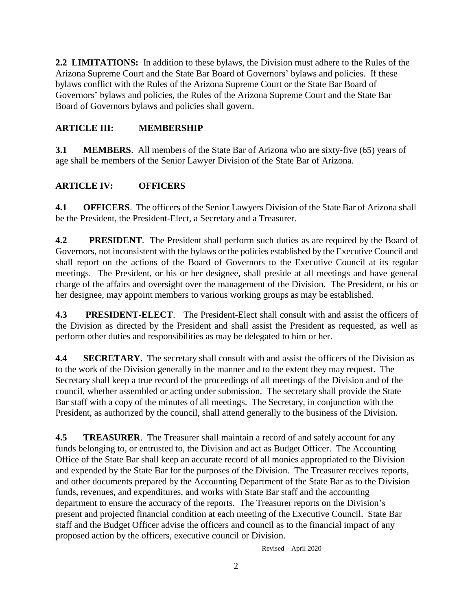**2.2 LIMITATIONS:** In addition to these bylaws, the Division must adhere to the Rules of the Arizona Supreme Court and the State Bar Board of Governors' bylaws and policies. If these bylaws conflict with the Rules of the Arizona Supreme Court or the State Bar Board of Governors' bylaws and policies, the Rules of the Arizona Supreme Court and the State Bar Board of Governors bylaws and policies shall govern.

#### **ARTICLE III: MEMBERSHIP**

**3.1 MEMBERS.** All members of the State Bar of Arizona who are sixty-five (65) years of age shall be members of the Senior Lawyer Division of the State Bar of Arizona.

#### **ARTICLE IV: OFFICERS**

**4.1 OFFICERS**. The officers of the Senior Lawyers Division of the State Bar of Arizona shall be the President, the President-Elect, a Secretary and a Treasurer.

**4.2** PRESIDENT. The President shall perform such duties as are required by the Board of Governors, not inconsistent with the bylaws or the policies established by the Executive Council and shall report on the actions of the Board of Governors to the Executive Council at its regular meetings. The President, or his or her designee, shall preside at all meetings and have general charge of the affairs and oversight over the management of the Division. The President, or his or her designee, may appoint members to various working groups as may be established.

**4.3 PRESIDENT-ELECT**. The President-Elect shall consult with and assist the officers of the Division as directed by the President and shall assist the President as requested, as well as perform other duties and responsibilities as may be delegated to him or her.

**4.4 SECRETARY**. The secretary shall consult with and assist the officers of the Division as to the work of the Division generally in the manner and to the extent they may request. The Secretary shall keep a true record of the proceedings of all meetings of the Division and of the council, whether assembled or acting under submission. The secretary shall provide the State Bar staff with a copy of the minutes of all meetings. The Secretary, in conjunction with the President, as authorized by the council, shall attend generally to the business of the Division.

**4.5 TREASURER.** The Treasurer shall maintain a record of and safely account for any funds belonging to, or entrusted to, the Division and act as Budget Officer. The Accounting Office of the State Bar shall keep an accurate record of all monies appropriated to the Division and expended by the State Bar for the purposes of the Division. The Treasurer receives reports, and other documents prepared by the Accounting Department of the State Bar as to the Division funds, revenues, and expenditures, and works with State Bar staff and the accounting department to ensure the accuracy of the reports. The Treasurer reports on the Division's present and projected financial condition at each meeting of the Executive Council. State Bar staff and the Budget Officer advise the officers and council as to the financial impact of any proposed action by the officers, executive council or Division.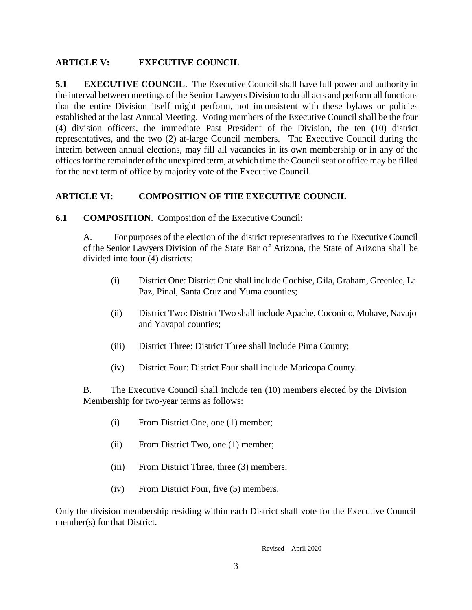#### **ARTICLE V: EXECUTIVE COUNCIL**

**5.1 EXECUTIVE COUNCIL.** The Executive Council shall have full power and authority in the interval between meetings of the Senior Lawyers Division to do all acts and perform all functions that the entire Division itself might perform, not inconsistent with these bylaws or policies established at the last Annual Meeting. Voting members of the Executive Council shall be the four (4) division officers, the immediate Past President of the Division, the ten (10) district representatives, and the two (2) at-large Council members. The Executive Council during the interim between annual elections, may fill all vacancies in its own membership or in any of the offices for the remainder of the unexpired term, at which time the Council seat or office may be filled for the next term of office by majority vote of the Executive Council.

#### **ARTICLE VI: COMPOSITION OF THE EXECUTIVE COUNCIL**

**6.1 COMPOSITION**. Composition of the Executive Council:

A. For purposes of the election of the district representatives to the Executive Council of the Senior Lawyers Division of the State Bar of Arizona, the State of Arizona shall be divided into four (4) districts:

- (i) District One: District One shall include Cochise, Gila, Graham, Greenlee, La Paz, Pinal, Santa Cruz and Yuma counties;
- (ii) District Two: District Two shall include Apache, Coconino, Mohave, Navajo and Yavapai counties;
- (iii) District Three: District Three shall include Pima County;
- (iv) District Four: District Four shall include Maricopa County.

B. The Executive Council shall include ten (10) members elected by the Division Membership for two-year terms as follows:

- (i) From District One, one (1) member;
- (ii) From District Two, one (1) member;
- (iii) From District Three, three (3) members;
- (iv) From District Four, five (5) members.

Only the division membership residing within each District shall vote for the Executive Council member(s) for that District.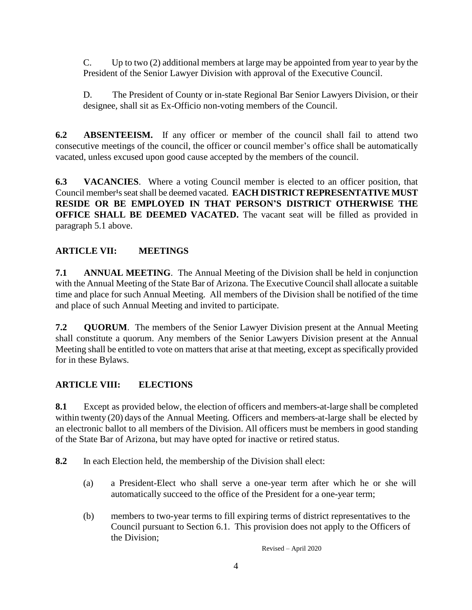C. Up to two (2) additional members at large may be appointed from year to year by the President of the Senior Lawyer Division with approval of the Executive Council.

D. The President of County or in-state Regional Bar Senior Lawyers Division, or their designee, shall sit as Ex-Officio non-voting members of the Council.

**6.2 ABSENTEEISM.** If any officer or member of the council shall fail to attend two consecutive meetings of the council, the officer or council member's office shall be automatically vacated, unless excused upon good cause accepted by the members of the council.

**6.3 VACANCIES**. Where a voting Council member is elected to an officer position, that Council member<sup>1</sup>s seat shall be deemed vacated. **EACH DISTRICT REPRESENTATIVE MUST RESIDE OR BE EMPLOYED IN THAT PERSON'S DISTRICT OTHERWISE THE OFFICE SHALL BE DEEMED VACATED.** The vacant seat will be filled as provided in paragraph 5.1 above.

## **ARTICLE VII: MEETINGS**

**7.1 ANNUAL MEETING**. The Annual Meeting of the Division shall be held in conjunction with the Annual Meeting of the State Bar of Arizona. The Executive Council shall allocate a suitable time and place for such Annual Meeting. All members of the Division shall be notified of the time and place of such Annual Meeting and invited to participate.

**7.2 QUORUM**. The members of the Senior Lawyer Division present at the Annual Meeting shall constitute a quorum. Any members of the Senior Lawyers Division present at the Annual Meeting shall be entitled to vote on matters that arise at that meeting, except as specifically provided for in these Bylaws.

#### **ARTICLE VIII: ELECTIONS**

**8.1** Except as provided below, the election of officers and members-at-large shall be completed within twenty (20) days of the Annual Meeting. Officers and members-at-large shall be elected by an electronic ballot to all members of the Division. All officers must be members in good standing of the State Bar of Arizona, but may have opted for inactive or retired status.

**8.2** In each Election held, the membership of the Division shall elect:

- (a) a President-Elect who shall serve a one-year term after which he or she will automatically succeed to the office of the President for a one-year term;
- (b) members to two-year terms to fill expiring terms of district representatives to the Council pursuant to Section 6.1. This provision does not apply to the Officers of the Division;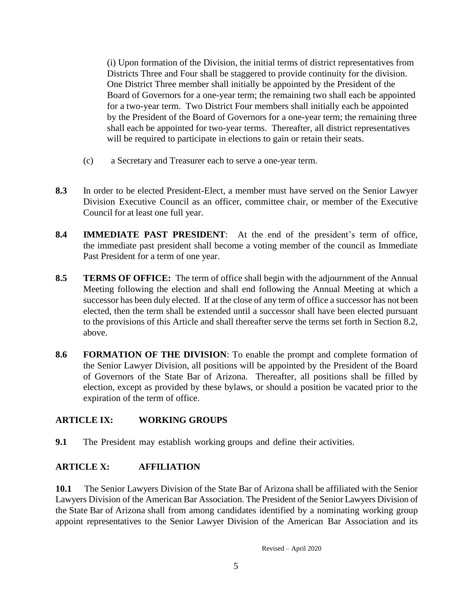(i) Upon formation of the Division, the initial terms of district representatives from Districts Three and Four shall be staggered to provide continuity for the division. One District Three member shall initially be appointed by the President of the Board of Governors for a one-year term; the remaining two shall each be appointed for a two-year term. Two District Four members shall initially each be appointed by the President of the Board of Governors for a one-year term; the remaining three shall each be appointed for two-year terms. Thereafter, all district representatives will be required to participate in elections to gain or retain their seats.

- (c) a Secretary and Treasurer each to serve a one-year term.
- **8.3** In order to be elected President-Elect, a member must have served on the Senior Lawyer Division Executive Council as an officer, committee chair, or member of the Executive Council for at least one full year.
- **8.4 IMMEDIATE PAST PRESIDENT**: At the end of the president's term of office, the immediate past president shall become a voting member of the council as Immediate Past President for a term of one year.
- **8.5 TERMS OF OFFICE:** The term of office shall begin with the adjournment of the Annual Meeting following the election and shall end following the Annual Meeting at which a successor has been duly elected. If at the close of any term of office a successor has not been elected, then the term shall be extended until a successor shall have been elected pursuant to the provisions of this Article and shall thereafter serve the terms set forth in Section 8.2, above.
- **8.6 FORMATION OF THE DIVISION**: To enable the prompt and complete formation of the Senior Lawyer Division, all positions will be appointed by the President of the Board of Governors of the State Bar of Arizona. Thereafter, all positions shall be filled by election, except as provided by these bylaws, or should a position be vacated prior to the expiration of the term of office.

## **ARTICLE IX: WORKING GROUPS**

**9.1** The President may establish working groups and define their activities.

## **ARTICLE X: AFFILIATION**

**10.1** The Senior Lawyers Division of the State Bar of Arizona shall be affiliated with the Senior Lawyers Division of the American Bar Association. The President of the Senior Lawyers Division of the State Bar of Arizona shall from among candidates identified by a nominating working group appoint representatives to the Senior Lawyer Division of the American Bar Association and its